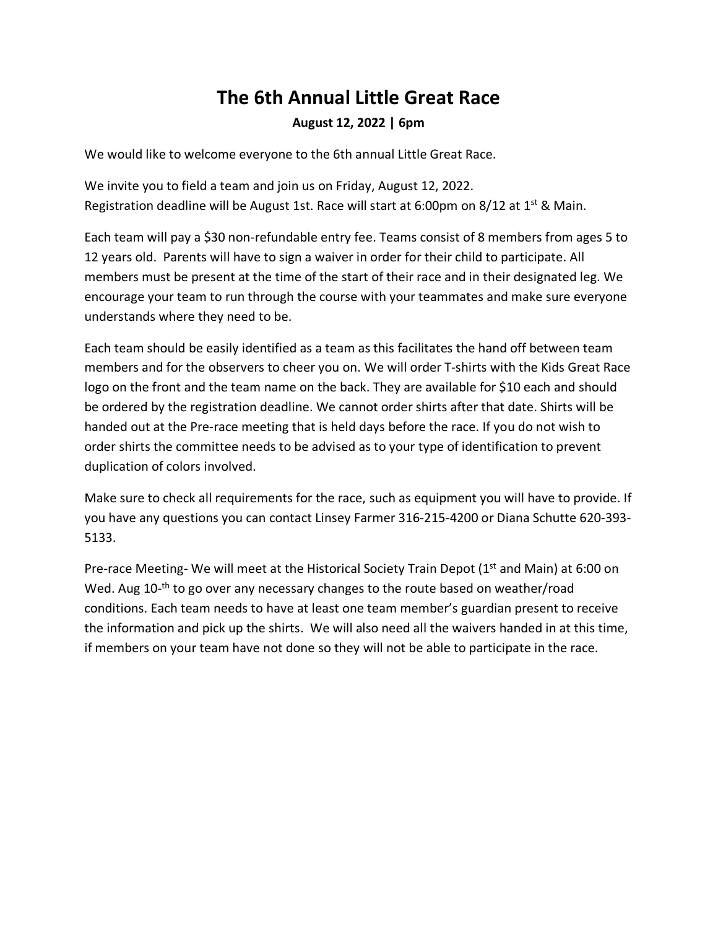## **The 6th Annual Little Great Race August 12, 2022 | 6pm**

We would like to welcome everyone to the 6th annual Little Great Race.

We invite you to field a team and join us on Friday, August 12, 2022. Registration deadline will be August 1st. Race will start at 6:00pm on 8/12 at 1<sup>st</sup> & Main.

Each team will pay a \$30 non-refundable entry fee. Teams consist of 8 members from ages 5 to 12 years old. Parents will have to sign a waiver in order for their child to participate. All members must be present at the time of the start of their race and in their designated leg. We encourage your team to run through the course with your teammates and make sure everyone understands where they need to be.

Each team should be easily identified as a team as this facilitates the hand off between team members and for the observers to cheer you on. We will order T-shirts with the Kids Great Race logo on the front and the team name on the back. They are available for \$10 each and should be ordered by the registration deadline. We cannot order shirts after that date. Shirts will be handed out at the Pre-race meeting that is held days before the race. If you do not wish to order shirts the committee needs to be advised as to your type of identification to prevent duplication of colors involved.

Make sure to check all requirements for the race, such as equipment you will have to provide. If you have any questions you can contact Linsey Farmer 316-215-4200 or Diana Schutte 620-393- 5133.

Pre-race Meeting- We will meet at the Historical Society Train Depot (1<sup>st</sup> and Main) at 6:00 on Wed. Aug 10-<sup>th</sup> to go over any necessary changes to the route based on weather/road conditions. Each team needs to have at least one team member's guardian present to receive the information and pick up the shirts. We will also need all the waivers handed in at this time, if members on your team have not done so they will not be able to participate in the race.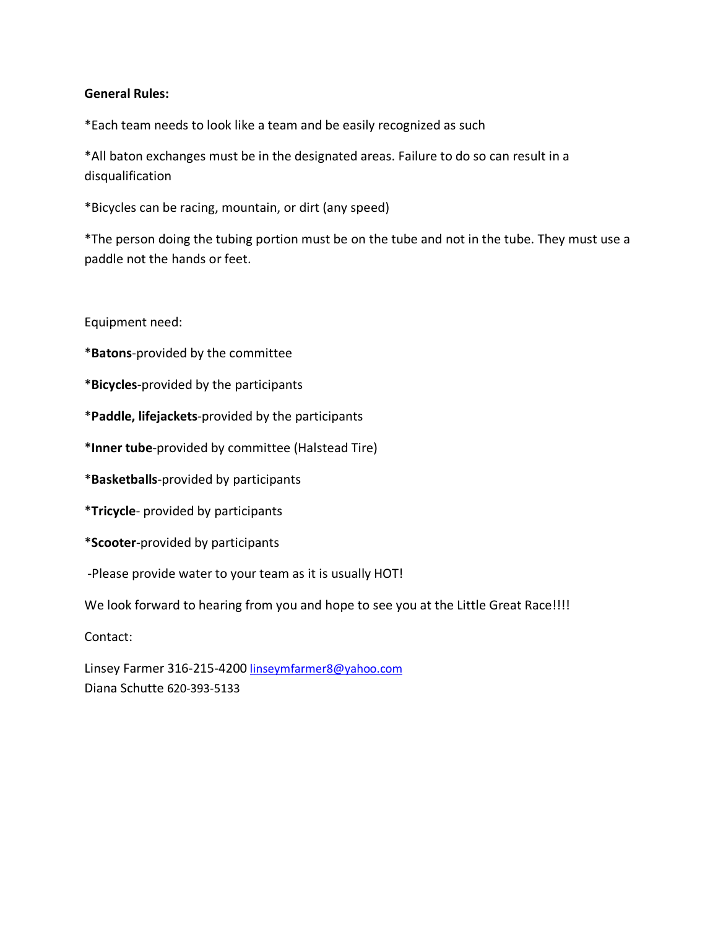#### **General Rules:**

\*Each team needs to look like a team and be easily recognized as such

\*All baton exchanges must be in the designated areas. Failure to do so can result in a disqualification

\*Bicycles can be racing, mountain, or dirt (any speed)

\*The person doing the tubing portion must be on the tube and not in the tube. They must use a paddle not the hands or feet.

Equipment need:

\***Batons**-provided by the committee

\***Bicycles**-provided by the participants

\***Paddle, lifejackets**-provided by the participants

\***Inner tube**-provided by committee (Halstead Tire)

\***Basketballs**-provided by participants

\***Tricycle**- provided by participants

\***Scooter**-provided by participants

-Please provide water to your team as it is usually HOT!

We look forward to hearing from you and hope to see you at the Little Great Race!!!!

Contact:

Linsey Farmer 316-215-4200 linseymfarmer8@yahoo.com Diana Schutte 620-393-5133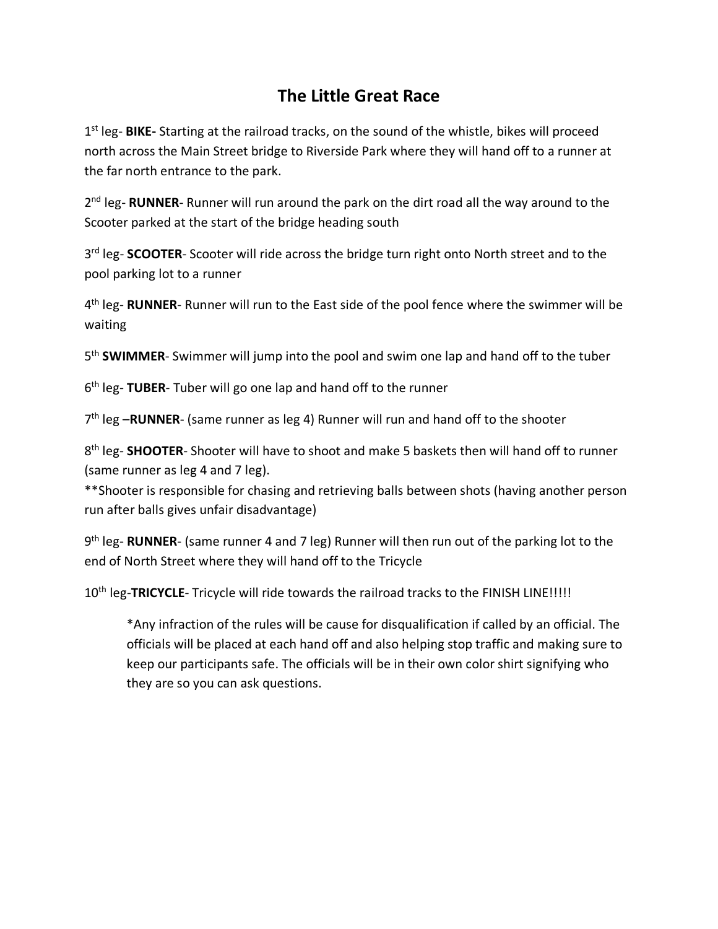### **The Little Great Race**

1st leg- **BIKE-** Starting at the railroad tracks, on the sound of the whistle, bikes will proceed north across the Main Street bridge to Riverside Park where they will hand off to a runner at the far north entrance to the park.

2<sup>nd</sup> leg- **RUNNER**- Runner will run around the park on the dirt road all the way around to the Scooter parked at the start of the bridge heading south

3<sup>rd</sup> leg- **SCOOTER**- Scooter will ride across the bridge turn right onto North street and to the pool parking lot to a runner

4th leg- **RUNNER**- Runner will run to the East side of the pool fence where the swimmer will be waiting

5th **SWIMMER**- Swimmer will jump into the pool and swim one lap and hand off to the tuber

6th leg- **TUBER**- Tuber will go one lap and hand off to the runner

7<sup>th</sup> leg -RUNNER- (same runner as leg 4) Runner will run and hand off to the shooter

8th leg- **SHOOTER**- Shooter will have to shoot and make 5 baskets then will hand off to runner (same runner as leg 4 and 7 leg).

\*\*Shooter is responsible for chasing and retrieving balls between shots (having another person run after balls gives unfair disadvantage)

9th leg- **RUNNER**- (same runner 4 and 7 leg) Runner will then run out of the parking lot to the end of North Street where they will hand off to the Tricycle

10<sup>th</sup> leg-TRICYCLE- Tricycle will ride towards the railroad tracks to the FINISH LINE!!!!!

\*Any infraction of the rules will be cause for disqualification if called by an official. The officials will be placed at each hand off and also helping stop traffic and making sure to keep our participants safe. The officials will be in their own color shirt signifying who they are so you can ask questions.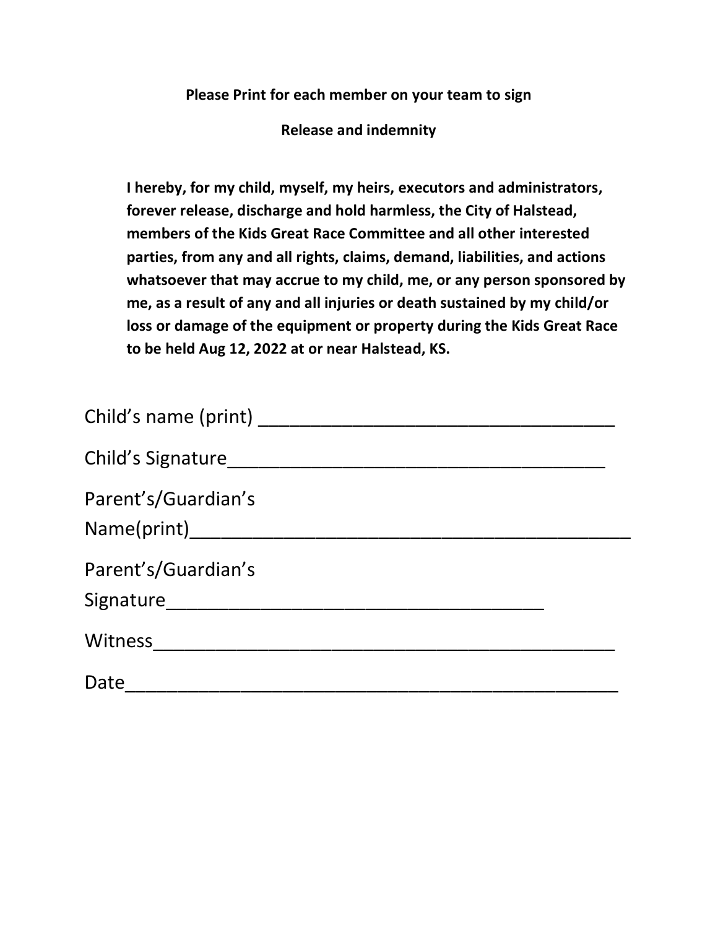**Please Print for each member on your team to sign**

**Release and indemnity**

**I hereby, for my child, myself, my heirs, executors and administrators, forever release, discharge and hold harmless, the City of Halstead, members of the Kids Great Race Committee and all other interested parties, from any and all rights, claims, demand, liabilities, and actions whatsoever that may accrue to my child, me, or any person sponsored by me, as a result of any and all injuries or death sustained by my child/or loss or damage of the equipment or property during the Kids Great Race to be held Aug 12, 2022 at or near Halstead, KS.**

| Child's Signature                |  |
|----------------------------------|--|
| Parent's/Guardian's              |  |
| Parent's/Guardian's<br>Signature |  |
| Witness                          |  |
| Date                             |  |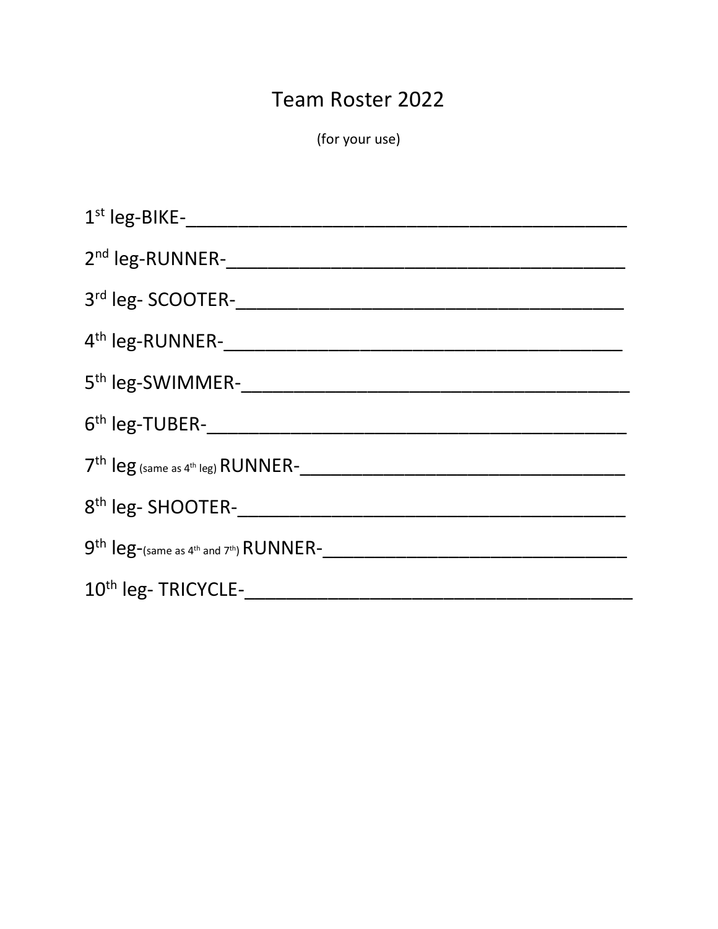# Team Roster 2022

(for your use)

| 1st leg-BIKE-                                                    |
|------------------------------------------------------------------|
| 2 <sup>nd</sup> leg-RUNNER-                                      |
| 3rd leg-SCOOTER-                                                 |
| 4 <sup>th</sup> leg-RUNNER-                                      |
| 5 <sup>th</sup> leg-SWIMMER-                                     |
| 6 <sup>th</sup> leg-TUBER-                                       |
| $7th$ leg (same as 4 <sup>th</sup> leg) RUNNER-                  |
| 8 <sup>th</sup> leg-SHOOTER-                                     |
| $9th$ leg-(same as 4 <sup>th</sup> and 7 <sup>th</sup> ) RUNNER- |
| 10 <sup>th</sup> leg-TRICYCLE-                                   |